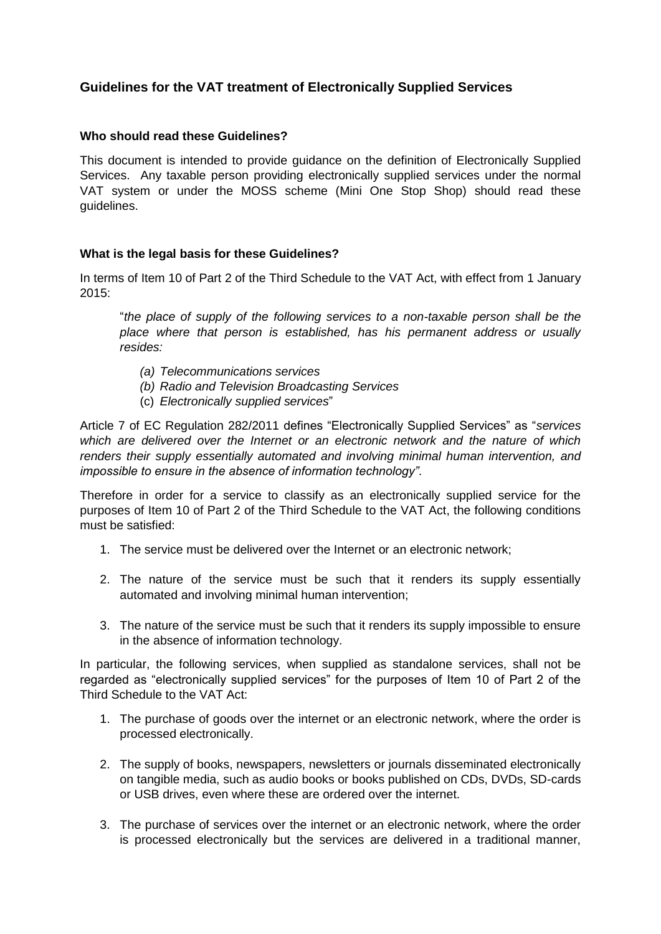## **Guidelines for the VAT treatment of Electronically Supplied Services**

## **Who should read these Guidelines?**

This document is intended to provide guidance on the definition of Electronically Supplied Services. Any taxable person providing electronically supplied services under the normal VAT system or under the MOSS scheme (Mini One Stop Shop) should read these guidelines.

## **What is the legal basis for these Guidelines?**

In terms of Item 10 of Part 2 of the Third Schedule to the VAT Act, with effect from 1 January 2015:

"*the place of supply of the following services to a non-taxable person shall be the place where that person is established, has his permanent address or usually resides:*

- *(a) Telecommunications services*
- *(b) Radio and Television Broadcasting Services*
- (c) *Electronically supplied services*"

Article 7 of EC Regulation 282/2011 defines "Electronically Supplied Services" as "*services which are delivered over the Internet or an electronic network and the nature of which renders their supply essentially automated and involving minimal human intervention, and impossible to ensure in the absence of information technology"*.

Therefore in order for a service to classify as an electronically supplied service for the purposes of Item 10 of Part 2 of the Third Schedule to the VAT Act, the following conditions must be satisfied:

- 1. The service must be delivered over the Internet or an electronic network;
- 2. The nature of the service must be such that it renders its supply essentially automated and involving minimal human intervention;
- 3. The nature of the service must be such that it renders its supply impossible to ensure in the absence of information technology.

In particular, the following services, when supplied as standalone services, shall not be regarded as "electronically supplied services" for the purposes of Item 10 of Part 2 of the Third Schedule to the VAT Act:

- 1. The purchase of goods over the internet or an electronic network, where the order is processed electronically.
- 2. The supply of books, newspapers, newsletters or journals disseminated electronically on tangible media, such as audio books or books published on CDs, DVDs, SD-cards or USB drives, even where these are ordered over the internet.
- 3. The purchase of services over the internet or an electronic network, where the order is processed electronically but the services are delivered in a traditional manner,